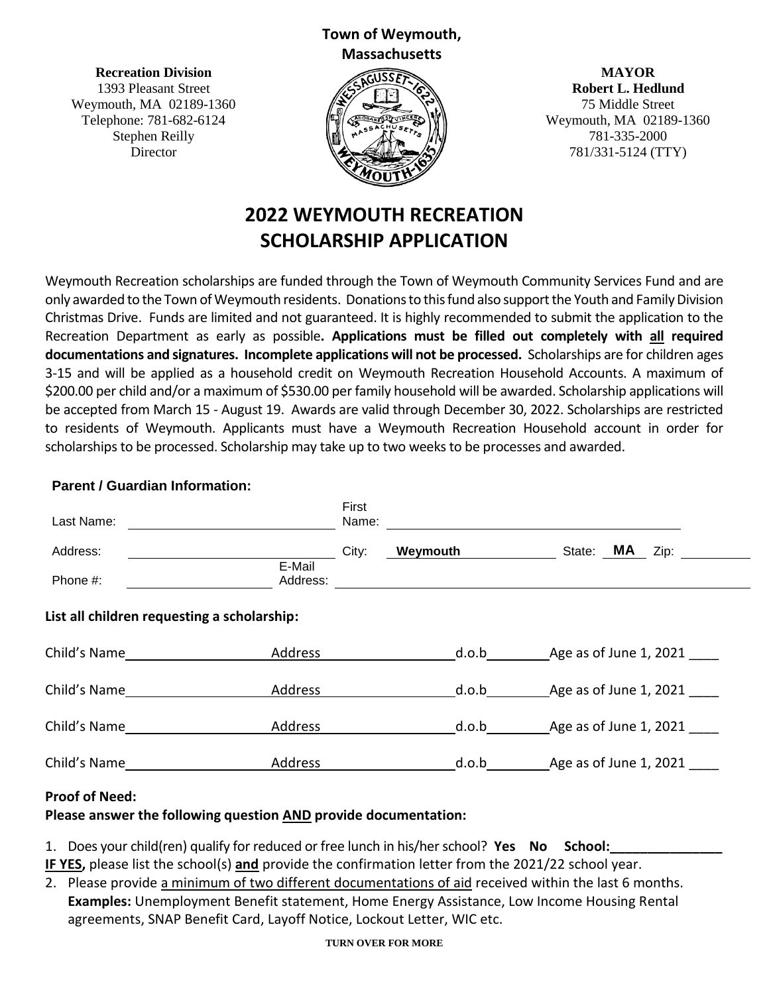## **Town of Weymouth, Massachusetts**

**Recreation Division** 1393 Pleasant Street Weymouth, MA 02189-1360 Telephone: 781-682-6124 Stephen Reilly **Director** 



**MAYOR Robert L. Hedlund** 75 Middle Street Weymouth, MA 02189-1360 781-335-2000 781/331-5124 (TTY)

# **2022 WEYMOUTH RECREATION SCHOLARSHIP APPLICATION**

Weymouth Recreation scholarships are funded through the Town of Weymouth Community Services Fund and are only awarded to the Town of Weymouth residents. Donations to this fund also support the Youth and Family Division Christmas Drive. Funds are limited and not guaranteed. It is highly recommended to submit the application to the Recreation Department as early as possible**. Applications must be filled out completely with all required documentations and signatures. Incomplete applications will not be processed.** Scholarships are for children ages 3-15 and will be applied as a household credit on Weymouth Recreation Household Accounts. A maximum of \$200.00 per child and/or a maximum of \$530.00 per family household will be awarded. Scholarship applications will be accepted from March 15 - August 19. Awards are valid through December 30, 2022. Scholarships are restricted to residents of Weymouth. Applicants must have a Weymouth Recreation Household account in order for scholarships to be processed. Scholarship may take up to two weeks to be processes and awarded.

## **Parent / Guardian Information:**

| Last Name:                                  |          | First<br>Name: |          |                              |    |      |
|---------------------------------------------|----------|----------------|----------|------------------------------|----|------|
| Address:                                    | E-Mail   | City:          | Weymouth | State:                       | MA | Zip: |
| Phone $#$ :                                 | Address: |                |          |                              |    |      |
| List all children requesting a scholarship: |          |                |          |                              |    |      |
| Child's Name                                | Address  |                |          | d.o.b Age as of June 1, 2021 |    |      |
| Child's Name                                | Address  |                | d.o.b    | Age as of June 1, 2021       |    |      |
| Child's Name                                | Address  |                | d.o.b    | Age as of June 1, 2021       |    |      |
| Child's Name                                | Address  |                | d.o.b    | Age as of June 1, 2021       |    |      |

## **Proof of Need:**

## **Please answer the following question AND provide documentation:**

1. Does your child(ren) qualify for reduced or free lunch in his/her school? **Yes No School:** 

**IF YES,** please list the school(s) **and** provide the confirmation letter from the 2021/22 school year.

2. Please provide a minimum of two different documentations of aid received within the last 6 months. **Examples:** Unemployment Benefit statement, Home Energy Assistance, Low Income Housing Rental agreements, SNAP Benefit Card, Layoff Notice, Lockout Letter, WIC etc.